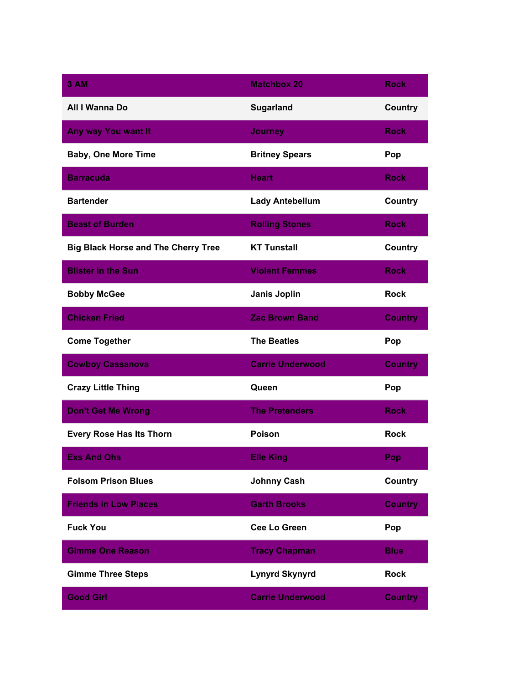| 3 AM                                       | <b>Matchbox 20</b>      | <b>Rock</b>    |
|--------------------------------------------|-------------------------|----------------|
| All I Wanna Do                             | <b>Sugarland</b>        | <b>Country</b> |
| Any way You want It                        | <b>Journey</b>          | <b>Rock</b>    |
| <b>Baby, One More Time</b>                 | <b>Britney Spears</b>   | Pop            |
| <b>Barracuda</b>                           | <b>Heart</b>            | <b>Rock</b>    |
| <b>Bartender</b>                           | <b>Lady Antebellum</b>  | Country        |
| <b>Beast of Burden</b>                     | <b>Rolling Stones</b>   | <b>Rock</b>    |
| <b>Big Black Horse and The Cherry Tree</b> | <b>KT Tunstall</b>      | Country        |
| <b>Blister in the Sun</b>                  | <b>Violent Femmes</b>   | <b>Rock</b>    |
| <b>Bobby McGee</b>                         | <b>Janis Joplin</b>     | <b>Rock</b>    |
| <b>Chicken Fried</b>                       | <b>Zac Brown Band</b>   | <b>Country</b> |
| <b>Come Together</b>                       | <b>The Beatles</b>      | Pop            |
| <b>Cowboy Cassanova</b>                    | <b>Carrie Underwood</b> | <b>Country</b> |
| <b>Crazy Little Thing</b>                  | Queen                   | Pop            |
| <b>Don't Get Me Wrong</b>                  | <b>The Pretenders</b>   | <b>Rock</b>    |
| <b>Every Rose Has Its Thorn</b>            | Poison                  | <b>Rock</b>    |
| <b>Exs And Ohs</b>                         | <b>Elle King</b>        | Pop            |
| <b>Folsom Prison Blues</b>                 | <b>Johnny Cash</b>      | Country        |
| <b>Friends in Low Places</b>               | <b>Garth Brooks</b>     | <b>Country</b> |
| <b>Fuck You</b>                            | <b>Cee Lo Green</b>     | Pop            |
| <b>Gimme One Reason</b>                    | <b>Tracy Chapman</b>    | <b>Blue</b>    |
| <b>Gimme Three Steps</b>                   | <b>Lynyrd Skynyrd</b>   | <b>Rock</b>    |
| <b>Good Girl</b>                           | <b>Carrie Underwood</b> | <b>Country</b> |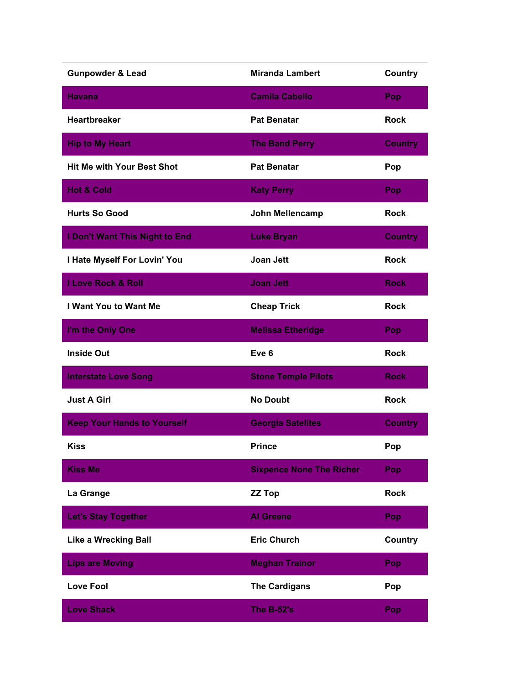| <b>Gunpowder &amp; Lead</b>        | <b>Miranda Lambert</b>          | Country        |
|------------------------------------|---------------------------------|----------------|
| <b>Havana</b>                      | <b>Camila Cabello</b>           | Pop            |
| <b>Heartbreaker</b>                | <b>Pat Benatar</b>              | <b>Rock</b>    |
| <b>Hip to My Heart</b>             | <b>The Band Perry</b>           | <b>Country</b> |
| <b>Hit Me with Your Best Shot</b>  | <b>Pat Benatar</b>              | Pop            |
| <b>Hot &amp; Cold</b>              | <b>Katy Perry</b>               | Pop            |
| <b>Hurts So Good</b>               | John Mellencamp                 | <b>Rock</b>    |
| I Don't Want This Night to End     | <b>Luke Bryan</b>               | <b>Country</b> |
| I Hate Myself For Lovin' You       | Joan Jett                       | <b>Rock</b>    |
| <b>I Love Rock &amp; Roll</b>      | <b>Joan Jett</b>                | <b>Rock</b>    |
| I Want You to Want Me              | <b>Cheap Trick</b>              | <b>Rock</b>    |
| I'm the Only One                   | <b>Melissa Etheridge</b>        | Pop            |
| <b>Inside Out</b>                  | Eve <sub>6</sub>                | <b>Rock</b>    |
| <b>Interstate Love Song</b>        | <b>Stone Temple Pilots</b>      | <b>Rock</b>    |
| <b>Just A Girl</b>                 | <b>No Doubt</b>                 | <b>Rock</b>    |
| <b>Keep Your Hands to Yourself</b> | <b>Georgia Satelites</b>        | <b>Country</b> |
| <b>Kiss</b>                        | <b>Prince</b>                   | Pop            |
| <b>Kiss Me</b>                     | <b>Sixpence None The Richer</b> | Pop            |
| La Grange                          | <b>ZZ Top</b>                   | <b>Rock</b>    |
| <b>Let's Stay Together</b>         | <b>Al Greene</b>                | Pop            |
| <b>Like a Wrecking Ball</b>        | <b>Eric Church</b>              | <b>Country</b> |
| <b>Lips are Moving</b>             | <b>Meghan Trainor</b>           | Pop            |
| <b>Love Fool</b>                   | <b>The Cardigans</b>            | Pop            |
| <b>Love Shack</b>                  | The B-52's                      | Pop            |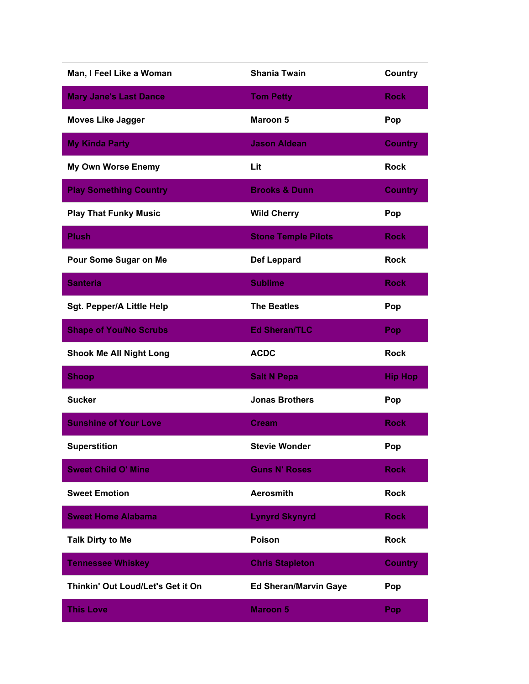| Man, I Feel Like a Woman          | <b>Shania Twain</b>          | Country        |
|-----------------------------------|------------------------------|----------------|
| <b>Mary Jane's Last Dance</b>     | <b>Tom Petty</b>             | <b>Rock</b>    |
| <b>Moves Like Jagger</b>          | <b>Maroon 5</b>              | Pop            |
| <b>My Kinda Party</b>             | <b>Jason Aldean</b>          | <b>Country</b> |
| <b>My Own Worse Enemy</b>         | Lit                          | <b>Rock</b>    |
| <b>Play Something Country</b>     | <b>Brooks &amp; Dunn</b>     | <b>Country</b> |
| <b>Play That Funky Music</b>      | <b>Wild Cherry</b>           | Pop            |
| <b>Plush</b>                      | <b>Stone Temple Pilots</b>   | <b>Rock</b>    |
| Pour Some Sugar on Me             | <b>Def Leppard</b>           | <b>Rock</b>    |
| <b>Santeria</b>                   | <b>Sublime</b>               | <b>Rock</b>    |
| <b>Sgt. Pepper/A Little Help</b>  | <b>The Beatles</b>           | Pop            |
| <b>Shape of You/No Scrubs</b>     | <b>Ed Sheran/TLC</b>         | Pop            |
| <b>Shook Me All Night Long</b>    | <b>ACDC</b>                  | <b>Rock</b>    |
| <b>Shoop</b>                      | <b>Salt N Pepa</b>           | <b>Hip Hop</b> |
| <b>Sucker</b>                     | <b>Jonas Brothers</b>        | Pop            |
| <b>Sunshine of Your Love</b>      | <b>Cream</b>                 | <b>Rock</b>    |
| <b>Superstition</b>               | <b>Stevie Wonder</b>         | Pop            |
| <b>Sweet Child O' Mine</b>        | <b>Guns N' Roses</b>         | <b>Rock</b>    |
| <b>Sweet Emotion</b>              | <b>Aerosmith</b>             | <b>Rock</b>    |
| <b>Sweet Home Alabama</b>         | <b>Lynyrd Skynyrd</b>        | <b>Rock</b>    |
| <b>Talk Dirty to Me</b>           | <b>Poison</b>                | <b>Rock</b>    |
| <b>Tennessee Whiskey</b>          | <b>Chris Stapleton</b>       | <b>Country</b> |
| Thinkin' Out Loud/Let's Get it On | <b>Ed Sheran/Marvin Gaye</b> | Pop            |
| <b>This Love</b>                  | <b>Maroon 5</b>              | Pop            |